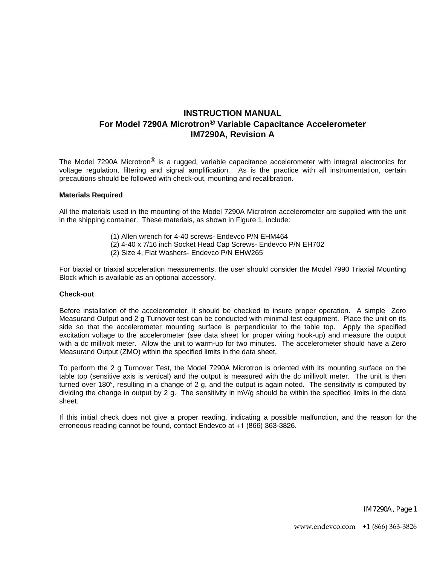# **INSTRUCTION MANUAL For Model 7290A Microtron® Variable Capacitance Accelerometer IM7290A, Revision A**

The Model 7290A Microtron<sup>®</sup> is a rugged, variable capacitance accelerometer with integral electronics for voltage regulation, filtering and signal amplification. As is the practice with all instrumentation, certain precautions should be followed with check-out, mounting and recalibration.

#### **Materials Required**

All the materials used in the mounting of the Model 7290A Microtron accelerometer are supplied with the unit in the shipping container. These materials, as shown in Figure 1, include:

- (1) Allen wrench for 4-40 screws- Endevco P/N EHM464
- (2) 4-40 x 7/16 inch Socket Head Cap Screws- Endevco P/N EH702
	- (2) Size 4, Flat Washers- Endevco P/N EHW265

For biaxial or triaxial acceleration measurements, the user should consider the Model 7990 Triaxial Mounting Block which is available as an optional accessory.

#### **Check-out**

Before installation of the accelerometer, it should be checked to insure proper operation. A simple Zero Measurand Output and 2 g Turnover test can be conducted with minimal test equipment. Place the unit on its side so that the accelerometer mounting surface is perpendicular to the table top. Apply the specified excitation voltage to the accelerometer (see data sheet for proper wiring hook-up) and measure the output with a dc millivolt meter. Allow the unit to warm-up for two minutes. The accelerometer should have a Zero Measurand Output (ZMO) within the specified limits in the data sheet.

To perform the 2 g Turnover Test, the Model 7290A Microtron is oriented with its mounting surface on the table top (sensitive axis is vertical) and the output is measured with the dc millivolt meter. The unit is then turned over 180°, resulting in a change of 2 g, and the output is again noted. The sensitivity is computed by dividing the change in output by 2 g. The sensitivity in mV/g should be within the specified limits in the data sheet.

If this initial check does not give a proper reading, indicating a possible malfunction, and the reason for the erroneous reading cannot be found, contact Endevco at +1 (866) 363-3826.

IM7290A, Page 1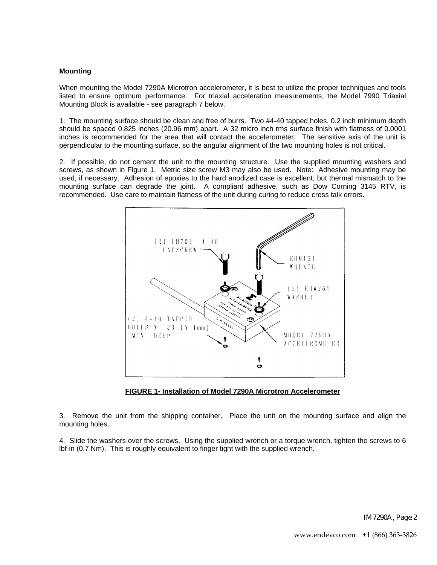## **Mounting**

When mounting the Model 7290A Microtron accelerometer, it is best to utilize the proper techniques and tools listed to ensure optimum performance. For triaxial acceleration measurements, the Model 7990 Triaxial Mounting Block is available - see paragraph 7 below.

1. The mounting surface should be clean and free of burrs. Two #4-40 tapped holes, 0.2 inch minimum depth should be spaced 0.825 inches (20.96 mm) apart. A 32 micro inch rms surface finish with flatness of 0.0001 inches is recommended for the area that will contact the accelerometer. The sensitive axis of the unit is perpendicular to the mounting surface, so the angular alignment of the two mounting holes is not critical.

2. If possible, do not cement the unit to the mounting structure. Use the supplied mounting washers and screws, as shown in Figure 1. Metric size screw M3 may also be used. Note: Adhesive mounting may be used, if necessary. Adhesion of epoxies to the hard anodized case is excellent, but thermal mismatch to the mounting surface can degrade the joint. A compliant adhesive, such as Dow Corning 3145 RTV, is recommended. Use care to maintain flatness of the unit during curing to reduce cross talk errors.



**FIGURE 1- Installation of Model 7290A Microtron Accelerometer**

3. Remove the unit from the shipping container. Place the unit on the mounting surface and align the mounting holes.

4. Slide the washers over the screws. Using the supplied wrench or a torque wrench, tighten the screws to 6 lbf-in (0.7 Nm). This is roughly equivalent to finger tight with the supplied wrench.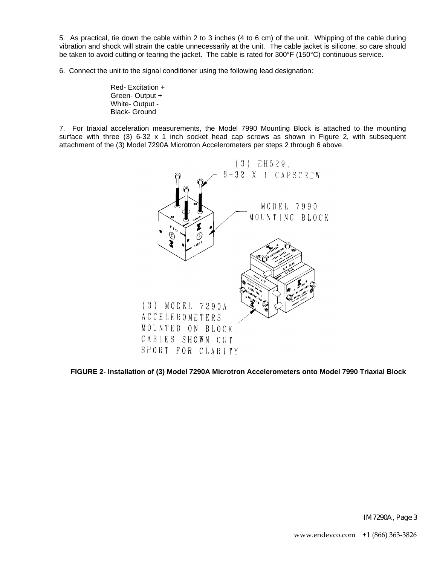5. As practical, tie down the cable within 2 to 3 inches (4 to 6 cm) of the unit. Whipping of the cable during vibration and shock will strain the cable unnecessarily at the unit. The cable jacket is silicone, so care should be taken to avoid cutting or tearing the jacket. The cable is rated for 300°F (150°C) continuous service.

6. Connect the unit to the signal conditioner using the following lead designation:

Red- Excitation + Green- Output + White- Output - Black- Ground

7. For triaxial acceleration measurements, the Model 7990 Mounting Block is attached to the mounting surface with three (3) 6-32 x 1 inch socket head cap screws as shown in Figure 2, with subsequent attachment of the (3) Model 7290A Microtron Accelerometers per steps 2 through 6 above.



**FIGURE 2- Installation of (3) Model 7290A Microtron Accelerometers onto Model 7990 Triaxial Block**

IM7290A, Page 3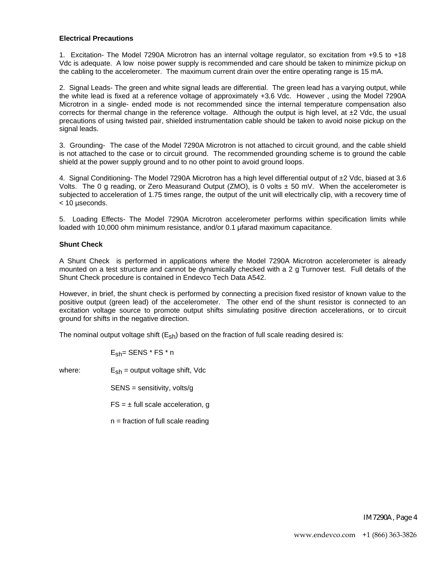## **Electrical Precautions**

1. Excitation- The Model 7290A Microtron has an internal voltage regulator, so excitation from +9.5 to +18 Vdc is adequate. A low noise power supply is recommended and care should be taken to minimize pickup on the cabling to the accelerometer. The maximum current drain over the entire operating range is 15 mA.

2. Signal Leads- The green and white signal leads are differential. The green lead has a varying output, while the white lead is fixed at a reference voltage of approximately +3.6 Vdc. However , using the Model 7290A Microtron in a single- ended mode is not recommended since the internal temperature compensation also corrects for thermal change in the reference voltage. Although the output is high level, at  $\pm 2$  Vdc, the usual precautions of using twisted pair, shielded instrumentation cable should be taken to avoid noise pickup on the signal leads.

3. Grounding- The case of the Model 7290A Microtron is not attached to circuit ground, and the cable shield is not attached to the case or to circuit ground. The recommended grounding scheme is to ground the cable shield at the power supply ground and to no other point to avoid ground loops.

4. Signal Conditioning- The Model 7290A Microtron has a high level differential output of ±2 Vdc, biased at 3.6 Volts. The 0 g reading, or Zero Measurand Output (ZMO), is 0 volts  $\pm$  50 mV. When the accelerometer is subjected to acceleration of 1.75 times range, the output of the unit will electrically clip, with a recovery time of < 10 µseconds.

5. Loading Effects- The Model 7290A Microtron accelerometer performs within specification limits while loaded with 10,000 ohm minimum resistance, and/or 0.1 µfarad maximum capacitance.

## **Shunt Check**

A Shunt Check is performed in applications where the Model 7290A Microtron accelerometer is already mounted on a test structure and cannot be dynamically checked with a 2 g Turnover test. Full details of the Shunt Check procedure is contained in Endevco Tech Data A542.

However, in brief, the shunt check is performed by connecting a precision fixed resistor of known value to the positive output (green lead) of the accelerometer. The other end of the shunt resistor is connected to an excitation voltage source to promote output shifts simulating positive direction accelerations, or to circuit ground for shifts in the negative direction.

The nominal output voltage shift  $(E_{sh})$  based on the fraction of full scale reading desired is:

$$
\mathsf{E}_{\mathsf{sh}}\mathsf{=}\mathsf{SENS} \mathbin{{}^\star}\mathsf{FS} \mathbin{{}^\star}\mathsf{n}
$$

where:  $E_{\rm sh}$  = output voltage shift, Vdc

SENS = sensitivity, volts/g

 $FS = \pm$  full scale acceleration, g

 $n =$  fraction of full scale reading